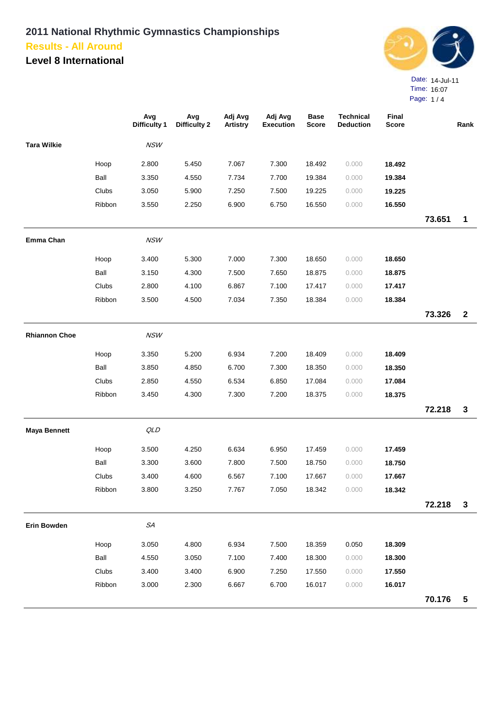**Level 8 International**



Page: 1 / 4

|                      |        | Avg<br><b>Difficulty 1</b> | Avg<br><b>Difficulty 2</b> | Adj Avg<br><b>Artistry</b> | Adj Avg<br><b>Execution</b> | <b>Base</b><br><b>Score</b> | <b>Technical</b><br><b>Deduction</b> | Final<br><b>Score</b> |        | Rank         |
|----------------------|--------|----------------------------|----------------------------|----------------------------|-----------------------------|-----------------------------|--------------------------------------|-----------------------|--------|--------------|
| <b>Tara Wilkie</b>   |        | NSW                        |                            |                            |                             |                             |                                      |                       |        |              |
|                      | Hoop   | 2.800                      | 5.450                      | 7.067                      | 7.300                       | 18.492                      | 0.000                                | 18.492                |        |              |
|                      | Ball   | 3.350                      | 4.550                      | 7.734                      | 7.700                       | 19.384                      | 0.000                                | 19.384                |        |              |
|                      | Clubs  | 3.050                      | 5.900                      | 7.250                      | 7.500                       | 19.225                      | 0.000                                | 19.225                |        |              |
|                      | Ribbon | 3.550                      | 2.250                      | 6.900                      | 6.750                       | 16.550                      | 0.000                                | 16.550                |        |              |
|                      |        |                            |                            |                            |                             |                             |                                      |                       | 73.651 | $\mathbf 1$  |
| Emma Chan            |        | NSW                        |                            |                            |                             |                             |                                      |                       |        |              |
|                      | Hoop   | 3.400                      | 5.300                      | 7.000                      | 7.300                       | 18.650                      | 0.000                                | 18.650                |        |              |
|                      | Ball   | 3.150                      | 4.300                      | 7.500                      | 7.650                       | 18.875                      | 0.000                                | 18.875                |        |              |
|                      | Clubs  | 2.800                      | 4.100                      | 6.867                      | 7.100                       | 17.417                      | 0.000                                | 17.417                |        |              |
|                      | Ribbon | 3.500                      | 4.500                      | 7.034                      | 7.350                       | 18.384                      | 0.000                                | 18.384                |        |              |
|                      |        |                            |                            |                            |                             |                             |                                      |                       | 73.326 | $\mathbf{2}$ |
| <b>Rhiannon Choe</b> |        | NSW                        |                            |                            |                             |                             |                                      |                       |        |              |
|                      | Hoop   | 3.350                      | 5.200                      | 6.934                      | 7.200                       | 18.409                      | 0.000                                | 18.409                |        |              |
|                      | Ball   | 3.850                      | 4.850                      | 6.700                      | 7.300                       | 18.350                      | 0.000                                | 18.350                |        |              |
|                      | Clubs  | 2.850                      | 4.550                      | 6.534                      | 6.850                       | 17.084                      | 0.000                                | 17.084                |        |              |
|                      | Ribbon | 3.450                      | 4.300                      | 7.300                      | 7.200                       | 18.375                      | 0.000                                | 18.375                |        |              |
|                      |        |                            |                            |                            |                             |                             |                                      |                       | 72.218 | $\mathbf{3}$ |
| <b>Maya Bennett</b>  |        | QLD                        |                            |                            |                             |                             |                                      |                       |        |              |
|                      | Hoop   | 3.500                      | 4.250                      | 6.634                      | 6.950                       | 17.459                      | 0.000                                | 17.459                |        |              |
|                      | Ball   | 3.300                      | 3.600                      | 7.800                      | 7.500                       | 18.750                      | 0.000                                | 18.750                |        |              |
|                      | Clubs  | 3.400                      | 4.600                      | 6.567                      | 7.100                       | 17.667                      | 0.000                                | 17.667                |        |              |
|                      | Ribbon | 3.800                      | 3.250                      | 7.767                      | 7.050                       | 18.342                      | 0.000                                | 18.342                |        |              |
|                      |        |                            |                            |                            |                             |                             |                                      |                       | 72.218 | $\mathbf{3}$ |
| <b>Erin Bowden</b>   |        | $\mathcal{S}\!A$           |                            |                            |                             |                             |                                      |                       |        |              |
|                      | Hoop   | 3.050                      | 4.800                      | 6.934                      | 7.500                       | 18.359                      | 0.050                                | 18.309                |        |              |
|                      | Ball   | 4.550                      | 3.050                      | 7.100                      | 7.400                       | 18.300                      | 0.000                                | 18.300                |        |              |
|                      | Clubs  | 3.400                      | 3.400                      | 6.900                      | 7.250                       | 17.550                      | 0.000                                | 17.550                |        |              |
|                      | Ribbon | 3.000                      | 2.300                      | 6.667                      | 6.700                       | 16.017                      | 0.000                                | 16.017                |        |              |
|                      |        |                            |                            |                            |                             |                             |                                      |                       | 70.176 | 5            |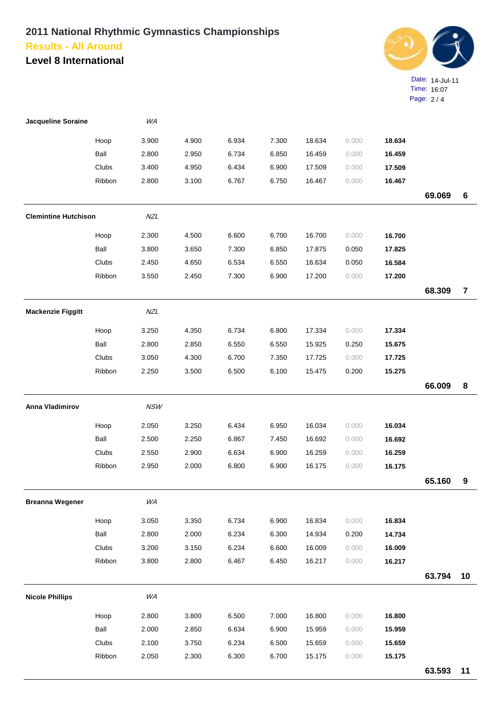**Level 8 International**



| <b>Jacqueline Soraine</b>   |        | WA         |       |       |       |        |       |        |        |                |
|-----------------------------|--------|------------|-------|-------|-------|--------|-------|--------|--------|----------------|
|                             | Hoop   | 3.900      | 4.900 | 6.934 | 7.300 | 18.634 | 0.000 | 18.634 |        |                |
|                             | Ball   | 2.800      | 2.950 | 6.734 | 6.850 | 16.459 | 0.000 | 16.459 |        |                |
|                             | Clubs  | 3.400      | 4.950 | 6.434 | 6.900 | 17.509 | 0.000 | 17.509 |        |                |
|                             | Ribbon | 2.800      | 3.100 | 6.767 | 6.750 | 16.467 | 0.000 | 16.467 |        |                |
|                             |        |            |       |       |       |        |       |        | 69.069 | 6              |
| <b>Clemintine Hutchison</b> |        | NZL        |       |       |       |        |       |        |        |                |
|                             | Hoop   | 2.300      | 4.500 | 6.600 | 6.700 | 16.700 | 0.000 | 16.700 |        |                |
|                             | Ball   | 3.800      | 3.650 | 7.300 | 6.850 | 17.875 | 0.050 | 17.825 |        |                |
|                             | Clubs  | 2.450      | 4.650 | 6.534 | 6.550 | 16.634 | 0.050 | 16.584 |        |                |
|                             | Ribbon | 3.550      | 2.450 | 7.300 | 6.900 | 17.200 | 0.000 | 17.200 |        |                |
|                             |        |            |       |       |       |        |       |        | 68.309 | $\overline{7}$ |
| <b>Mackenzie Figgitt</b>    |        | NZL        |       |       |       |        |       |        |        |                |
|                             | Hoop   | 3.250      | 4.350 | 6.734 | 6.800 | 17.334 | 0.000 | 17.334 |        |                |
|                             | Ball   | 2.800      | 2.850 | 6.550 | 6.550 | 15.925 | 0.250 | 15.675 |        |                |
|                             | Clubs  | 3.050      | 4.300 | 6.700 | 7.350 | 17.725 | 0.000 | 17.725 |        |                |
|                             | Ribbon | 2.250      | 3.500 | 6.500 | 6.100 | 15.475 | 0.200 | 15.275 |        |                |
|                             |        |            |       |       |       |        |       |        | 66.009 | 8              |
| <b>Anna Vladimirov</b>      |        | <b>NSW</b> |       |       |       |        |       |        |        |                |
|                             | Hoop   | 2.050      | 3.250 | 6.434 | 6.950 | 16.034 | 0.000 | 16.034 |        |                |
|                             | Ball   | 2.500      | 2.250 | 6.867 | 7.450 | 16.692 | 0.000 | 16.692 |        |                |
|                             | Clubs  | 2.550      | 2.900 | 6.634 | 6.900 | 16.259 | 0.000 | 16.259 |        |                |
|                             | Ribbon | 2.950      | 2.000 | 6.800 | 6.900 | 16.175 | 0.000 | 16.175 |        |                |
|                             |        |            |       |       |       |        |       |        | 65.160 | 9              |
| <b>Breanna Wegener</b>      |        | WA         |       |       |       |        |       |        |        |                |
|                             | Hoop   | 3.050      | 3.350 | 6.734 | 6.900 | 16.834 | 0.000 | 16.834 |        |                |
|                             | Ball   | 2.800      | 2.000 | 6.234 | 6.300 | 14.934 | 0.200 | 14.734 |        |                |
|                             | Clubs  | 3.200      | 3.150 | 6.234 | 6.600 | 16.009 | 0.000 | 16.009 |        |                |
|                             | Ribbon | 3.800      | 2.800 | 6.467 | 6.450 | 16.217 | 0.000 | 16.217 |        |                |
|                             |        |            |       |       |       |        |       |        | 63.794 | 10             |
| <b>Nicole Phillips</b>      |        | WA         |       |       |       |        |       |        |        |                |
|                             | Hoop   | 2.800      | 3.800 | 6.500 | 7.000 | 16.800 | 0.000 | 16.800 |        |                |
|                             | Ball   | 2.000      | 2.850 | 6.634 | 6.900 | 15.959 | 0.000 | 15.959 |        |                |
|                             | Clubs  | 2.100      | 3.750 | 6.234 | 6.500 | 15.659 | 0.000 | 15.659 |        |                |
|                             | Ribbon | 2.050      | 2.300 | 6.300 | 6.700 | 15.175 | 0.000 | 15.175 |        |                |
|                             |        |            |       |       |       |        |       |        | 63.593 | 11             |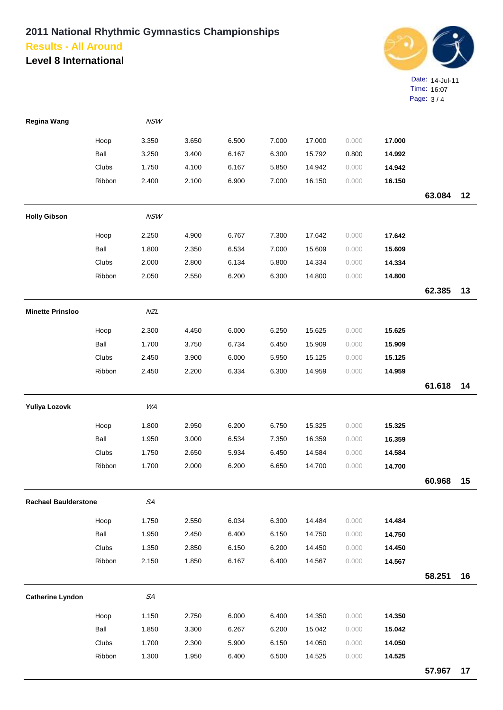**Level 8 International**



| Regina Wang                 |        | NSW         |       |       |       |        |       |        |        |    |
|-----------------------------|--------|-------------|-------|-------|-------|--------|-------|--------|--------|----|
|                             | Hoop   | 3.350       | 3.650 | 6.500 | 7.000 | 17.000 | 0.000 | 17.000 |        |    |
|                             | Ball   | 3.250       | 3.400 | 6.167 | 6.300 | 15.792 | 0.800 | 14.992 |        |    |
|                             | Clubs  | 1.750       | 4.100 | 6.167 | 5.850 | 14.942 | 0.000 | 14.942 |        |    |
|                             | Ribbon | 2.400       | 2.100 | 6.900 | 7.000 | 16.150 | 0.000 | 16.150 |        |    |
|                             |        |             |       |       |       |        |       |        | 63.084 | 12 |
| <b>Holly Gibson</b>         |        | <b>NSW</b>  |       |       |       |        |       |        |        |    |
|                             | Hoop   | 2.250       | 4.900 | 6.767 | 7.300 | 17.642 | 0.000 | 17.642 |        |    |
|                             | Ball   | 1.800       | 2.350 | 6.534 | 7.000 | 15.609 | 0.000 | 15.609 |        |    |
|                             | Clubs  | 2.000       | 2.800 | 6.134 | 5.800 | 14.334 | 0.000 | 14.334 |        |    |
|                             | Ribbon | 2.050       | 2.550 | 6.200 | 6.300 | 14.800 | 0.000 | 14.800 |        |    |
|                             |        |             |       |       |       |        |       |        | 62.385 | 13 |
| <b>Minette Prinsloo</b>     |        | <b>NZL</b>  |       |       |       |        |       |        |        |    |
|                             | Hoop   | 2.300       | 4.450 | 6.000 | 6.250 | 15.625 | 0.000 | 15.625 |        |    |
|                             | Ball   | 1.700       | 3.750 | 6.734 | 6.450 | 15.909 | 0.000 | 15.909 |        |    |
|                             | Clubs  | 2.450       | 3.900 | 6.000 | 5.950 | 15.125 | 0.000 | 15.125 |        |    |
|                             | Ribbon | 2.450       | 2.200 | 6.334 | 6.300 | 14.959 | 0.000 | 14.959 |        |    |
|                             |        |             |       |       |       |        |       |        | 61.618 | 14 |
| Yuliya Lozovk               |        | WA          |       |       |       |        |       |        |        |    |
|                             | Hoop   | 1.800       | 2.950 | 6.200 | 6.750 | 15.325 | 0.000 | 15.325 |        |    |
|                             | Ball   | 1.950       | 3.000 | 6.534 | 7.350 | 16.359 | 0.000 | 16.359 |        |    |
|                             | Clubs  | 1.750       | 2.650 | 5.934 | 6.450 | 14.584 | 0.000 | 14.584 |        |    |
|                             | Ribbon | 1.700       | 2.000 | 6.200 | 6.650 | 14.700 | 0.000 | 14.700 |        |    |
|                             |        |             |       |       |       |        |       |        | 60.968 | 15 |
| <b>Rachael Baulderstone</b> |        | ${\cal SA}$ |       |       |       |        |       |        |        |    |
|                             | Hoop   | 1.750       | 2.550 | 6.034 | 6.300 | 14.484 | 0.000 | 14.484 |        |    |
|                             | Ball   | 1.950       | 2.450 | 6.400 | 6.150 | 14.750 | 0.000 | 14.750 |        |    |
|                             | Clubs  | 1.350       | 2.850 | 6.150 | 6.200 | 14.450 | 0.000 | 14.450 |        |    |
|                             | Ribbon | 2.150       | 1.850 | 6.167 | 6.400 | 14.567 | 0.000 | 14.567 |        |    |
|                             |        |             |       |       |       |        |       |        | 58.251 | 16 |
| <b>Catherine Lyndon</b>     |        | ${\cal SA}$ |       |       |       |        |       |        |        |    |
|                             | Hoop   | 1.150       | 2.750 | 6.000 | 6.400 | 14.350 | 0.000 | 14.350 |        |    |
|                             | Ball   | 1.850       | 3.300 | 6.267 | 6.200 | 15.042 | 0.000 | 15.042 |        |    |
|                             | Clubs  | 1.700       | 2.300 | 5.900 | 6.150 | 14.050 | 0.000 | 14.050 |        |    |
|                             | Ribbon | 1.300       | 1.950 | 6.400 | 6.500 | 14.525 | 0.000 | 14.525 |        |    |
|                             |        |             |       |       |       |        |       |        | 57.967 | 17 |